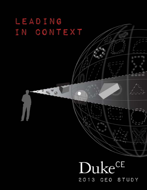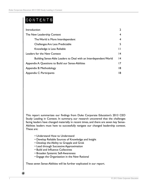# Contents

| Introduction                                                     | $\overline{2}$ |
|------------------------------------------------------------------|----------------|
| The New Leadership Context                                       | 4              |
| The World is More Interdependent                                 | 4              |
| Challenges Are Less Predictable                                  | 5              |
| Knowledge is Less Reliable                                       | Ħ              |
| Leaders for the New Context                                      | 4              |
| Building Sense-Able Leaders to Deal with an Interdependent World | 14             |
| Appendix A: Questions to Build our Sense-Abilities               | 17             |
| Appendix B: Methodology                                          | 18             |
| Appendix C: Participants                                         | 18             |

This report summarizes our findings from Duke Corporate Education's 2013 CEO Study: Leading in Context. In summary, our research uncovered that the challenges facing leaders have changed materially in recent times, and there are seven key Sense-Abilities leaders must have to successfully navigate our changed leadership context. These are:

- Understand How to Understand
- Develop Reliable Sources of Knowledge and Insight
- Develop the Ability to Grapple and Grok
- Lead through Successive Approximation
- Build and Influence Collectives
- Broaden Systemic Self-Awareness
- Engage the Organization in the New Rational

These seven Sense-Abilities will be further explicated in our report.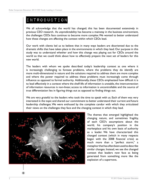## Introduction

We all acknowledge that the world has changed; this has been documented extensively in previous CEO research. As unpredictability has become a mainstay in the business environment, the challenges CEOs face continue to become more complex. We wanted to better understand how these changes are affecting the context within which CEOs lead.

Our work with clients led us to believe that in many ways leaders are disoriented due to the dramatic shifts that have taken place in the environments in which they lead. Our purpose in this study was to understand whether and how this change was playing out for CEOs around the world so that we could think about how to effectively prepare the next set of leaders for this new world.

The leaders with whom we spoke described today's leadership context as one where it is increasingly challenging to foresee problems, where the problems they do identify are more multi-dimensional in nature and the solutions required to address them are more complex and where the power required to address these problems must increasingly come through influence as opposed to formal authority. Additionally, these CEOs emphasized how difficult it is to lead effectively in a context where the shelf-life of information is unstable, the interconnection of information resources is non-linear, access to information is uncontrollable and the source of true differentiation lies in figuring things out as opposed to finding things out.

We are very grateful to the leaders who took the time to speak with us. Each of them was very interested in the topic and shared our commitment to better understand their current and future leadership challenges. We were enthused by the complete candor with which they articulated their views on the challenges they face and the changing context in which they lead.



The themes that emerged highlighted the changing nature, and sometimes fragility, of each CEO's assumptions about the world, his company's position in the marketplace and his own basis of authority as a leader. We have characterized this changed context (which in many respects began with the 2008 financial crisis) as much more than a "perfect storm," a metaphor that has often been used to describe similar changes. Instead, we see the changed context that leaders now face as being generated from something more like the explosion of a supernova.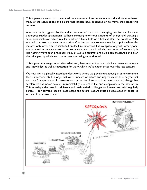This supernova event has accelerated the move to an interdependent world and has untethered many of the assumptions and beliefs that leaders have depended on to frame their leadership context.

A supernova is triggered by the sudden collapse of the core of an aging massive star. This star undergoes sudden gravitational collapse, releasing enormous amounts of energy and creating a supernova explosion which results in either a black hole or a brilliant star. The events of 2009 seemed to mirror a supernova explosion. Our business environment reached a point where the massive system we created imploded on itself in some ways. The collapse, along with other global events, acted as an accelerator to move us to a new state in which the context of leadership is like nothing we've seen previously. Many of our old assumptions have been challenged and even the principles by which we have led are now being reconsidered.

This supernova change comes after what many have seen as the relatively linear evolution of work and knowledge, as well as education for work, which we've experienced over the last century.

We now live in a globally interdependent world where we play simultaneously in an environment that is interconnected in ways that were unheard of before and unpredictable to a degree that we haven't experienced. In essence, our gravitational tethers have been severed, change has accelerated like never before, unpredictability is a fact of life, and complexity is the new norm. This interdependent world is different and holds varied challenges we haven't dealt with regularly before – our current leaders must adapt and future leaders must be developed in order to succeed in this new context.

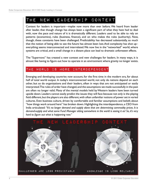### The New Leadership Context

Context for leaders is important—maybe now more than ever before. We heard from leader after leader, that though change has always been a significant part of what they have had to deal with, now the pace and nature of it is dramatically different. Leaders used to be able to rely on patterns (economics), rules (business, finance), and on who makes the rules (authority). Now, though, these constants have been challenged. Predictability has decreased substantially, so much that the notion of being able to see the future has almost been lost. And complexity has shot up– everything seems interconnected and interrelated. We now live in the "networked" world, where systems are critical, and a small change in a distant place can lead to dramatic unforeseen effects.

The "Supernova" has created a new context and new challenges for leaders. In many ways, it is almost like having to figure out how to operate in an environment where gravity no longer exists.

### THE WORLD IS MORE INTERDEPENDENT

Emerging and developing countries now account, for the first time in the modern era, for about half of total world output. In today's interconnected world, not only do nations depend on each other, but so do organizations and their leaders, often in ways that are not anticipated or easily interpreted. The rules of order have changed, and the assumptions we made successfully in the past are often no longer valid. Many of the mental models held by Western leaders have been turned upside down. Leaders cannot easily predict the issues they will face because not only is the playing field different, but the players are also different, with often unfamiliar notions of power set in varied cultures. Even business culture, driven by comfortable and familiar assumptions and beliefs about "how things work around here" has broken down. Highlighting the interdependence, a CEO from India articulated: *"It's no longer demand and supply alone that are determining commodity prices. It is demand-supply and what some Fund Manager sitting somewhere in the world is seeing it as! So, it's very hard to figure out what is happening now."*

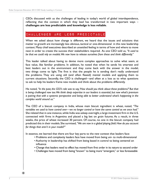CEOs discussed with us the challenges of leading in today's world of global interdependence, reflecting that the context in which they lead has transformed in two important ways – **challenges are less predictable and knowledge is less reliable**.

# \ Challenges Are Less Predictable

When we asked about how change is different, we heard that the issues and solutions that matter to growth are increasingly less obvious, tactical or one-dimensional in this new leadership context. Many chief executives described an unsettled feeling in terms of how and where to move next in order to create the success their stakeholders required. As one CEO told us, *"It used to be that we could rely on models. We now have to release ourselves from these and think differently."*

This leader talked about having to devise more complex approaches to solve what seem, at face value, like familiar problems. In addition, he noted that when he sends his smartest and best leaders out in the environment and they come back with the answer in the model, two things come to light. The first is that the people he is sending don't really understand the problems. They are using old (and often flawed) mental models and applying them to current situations. Secondly, the CEO is challenged—and often at a loss as to what questions to ask to help his leaders frame new models and think about the problems differently.

He noted, *"In the past, the CEO's role was to say, 'How should you think about these problems?' But that is being challenged now too. We think deep expertise in our leaders is essential, but now what's premium is pairing that with a systemic perspective and being able to better understand what's happening in the complex world around us."*

The CEO of a biscuit company in India, whose main biscuit ingredient is wheat, noted, *"The variables we used to have control over—we no longer control or have the same control as we once had."* She related that in one instance, while India was asleep overnight, a large investment firm in the U.S. connected with firms in Argentina and placed a big bet on grain futures. As a result, in three weeks, the price of wheat increased 30 percent. Of course, no one in the biscuit company had predicted this in their models. She surmised, *"We are now in a global playing field. How do you account for things that aren't in your model?"*

In essence, we learned that there are four key parts to the new context that leaders face:

- Problems and complexity leaders face have moved from being uni- to multi-dimensional
- Authority in leadership has shifted from being based in control to being centered on influence
- Change that leaders need to effect has moved from first order in its nature to second order
- Challenges have moved from being "known" to being more "emergent," or less foreseeable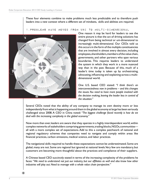These four elements combine to make problems much less predictable and to therefore push leaders into a new context where a different set of mindsets, skills and abilities are required.

#### 1.Problems have moved from uni to multi-dimensional



One reason it may be hard for leaders to see the entire picture is that the act of driving solutions has changed from being technical or uni-dimensional to increasingly multi-dimensional. Our CEOs told us this occurs in the form of the multiple constituencies that are involved in almost every decision, including employees, shareholders, members of the value chain, governments, and other partners who span various boundaries. This requires leaders to understand the system in which they work in a more nuanced way than in the past. Because of this, much of a leader's time today is taken up by orchestrating, advocating, influencing and explaining across a multidimensional world.

One U.S. based CEO stated: *"I think there's an interconnectedness now in problems – and this changes the issues. You need to have more people involved with the decision making, leaving the leader less in control of the situation."*

Several CEOs noted that the ability of any company to manage its own destiny more or less independently from what is happening around them in the global economy at large has been seriously challenged since 2008. A CEO in China noted: *"The biggest challenge faced recently is how do we deal with the increasing complexity in the global economy."* 

Now more than ever, leaders are aware that they operate in a highly interdependent world, within complex networks of stakeholders comprising governments, trading blocks, NGOs, communities all with a more complex set of expectations. Add to this a complex patchwork of national and regional regulatory schemes that companies need to navigate and comply within areas like financial practices, carbon emissions, medical science, and labor practices.

The navigational skills required to handle these expectations cannot be underestimated. Some are global, many are not. Some are regional but ignored at national levels. Very few are mandatory, but customers are becoming more thoughtful about the practices and compliance of their suppliers.

A Chinese based CEO succinctly stated in terms of the increasing complexity of the problems he faces: *"We need to understand not just our industry, but our affiliates as well and also know how other industries will play out. Need to manage with a whole value chain perspective."*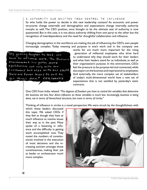### 2.Authority has Shifted from Control to Influence So who holds the power to decide in this new leadership context? As economic and power structures change externally and demographics and expectations change internally, authority morphs as well. The CEO position, once thought to be the ultimate seat of authority, is now questioned. But in this case, it is not about authority shifting from one party to the other but the recognition of interdependence and the need for thoughtful collaboration and influence.

Changing demographics in the workforce are making the job of influencing the CEO's own people increasingly complex. Today meaning and purpose in one's work and in the company one



works for are much more important for the rising generation of millennial employees who drive hard to understand why they should work for their leaders and what their leaders stand for as individuals, as well as their organization's purpose. In this environment, CEOs feel the pressure to be purpose-led and connected, while also expert on the business and inspirational to employees. And externally, the more complex set of stakeholders of today's multi-dimensional world have a new set of expectations that is not satisfied by yesterday's static contracts.

One CEO from India related: *"The degrees of freedom you have to control the variables that determine the business are less. Your direct influence on those variables is much less. Increasingly, business is being done, not in terms of hierarchical structure, but more in terms of circles."* 

Thinking of influence in circles is a novel perspective. We were struck by the thoughtfulness with

which these leaders discussed this topic. We asked CEOs if they feel as though they have as much influence to resolve issues their way as in the past. Many spoke of a lessening in influence and the difficulty in getting work accomplished now. They noted the numbers of constituencies involved in the execution of most decisions and the increasing activism amongst those constituencies, making their job as leader or orchestrator much more complex.

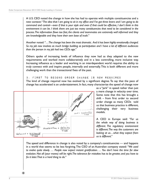A U.S. CEO noted the change in how she has had to operate with multiple constituencies and a new context: "*The idea that I am going to sit in my office and I've got three levers and I am going to do command and control*—*even if that is your style and even if that could be effective, I don't think in this environment it can be. I think there are just too many constituencies that need to be considered in the process. The information flows too fast, the clients and teammates are extremely well informed and they are knowledgeable and they have their own base of truth."* 

Another noted: *"…The change has been the most dramatic. And it has been highly emotionally charged. So my job now involves as much bridge building as participation and I have a lot of different audiences than the person in my job had two CEOs ago."*

Others spoke of increasing levels of influence they now had as they adapted to the new requirements and worked more collaboratively and in a less controlling, more inclusive way. Increasing influence as a leader and working in an interdependent world requires the ability to truly connect with and inspire people, internally and externally. This is both different and more challenging work than the transactional fixes of the past.

3. First to second Order Change is Now Required

The kind of change required now has evolved by a significant degree. To say that the pace of change has accelerated is an understatement. In fact, many characterize the speed of change now



as a "jerk" in speed rather than just a mere change in velocity over time. Some note that this has brought a shift – from first order to second order change as many CEOs told us that business practice is different, challenging their very business models.

A CEO in Europe said: *"For us the whole way of doing business is different. The regulatory environment is different. The way the customers are looking at us…what they expect from us is different."* 

The speed and difference in change is also noted by a company's constituencies — and happens in a world that seems to be less forgiving. The CEO of an Australian company stated: *"We used to evolve quite slowly. … People now expect instant gratification. … You don't have the time for slow evolution. Not all (your moves) will be right. The tolerance for mistakes has to be greater, and you have to fix it later. That is a hard thing to do."*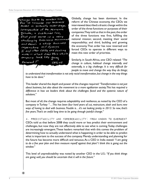Change has to be wonber one for us because our business Model is actually under siege, Irrespective of the economic growth, a sustained low, flat vield carve is a very challenging business env. a whole business and there's imperitive and dynamic I and other CEO's are dealing  $w_1 + b_1 - w_1 + d_2 + d_3 + d_4$  where look like going  $conpary$ forward: CEO, US

Globally, change has been dominant. In the reform of the Chinese economy, the CEOs we interviewed described a drastic change within the order of the three functions or purposes of their companies. They told us that in the past, the order of the three functions was first, fulfilling the national mission; second, meeting their social responsibility; and third, building and growing the economy. That order has now reversed and forced CEOs to operate in different ways to meet this new order of priorities.

Similarly, in South Africa, one CEO related: *"The change in culture, habitual change internally and externally, is a big challenge. It is very difficult for people to move and change the way they do things;* 

*to understand that transformation is not only racial transformation, but change in the way things have to be done."*

This leader shared the depth and power of the changes required: *"Transformation is not just about business, but also about the movement to a more egalitarian society. This has required a difference in how we leaders think about the challenges faced and the systemic nature of solutions."* 

But most of all, the change requires adaptability and resilience, as noted by the CEO of a company in Turkey: *"…This has been four hard years of cut, restructure, slash and burn; new ways of having to deal with business. Trouble is…it's not looking pretty in 2013. So now, that's five years. That's an awful long time to be going through painful change."*

4. Predictability and Foreseeability: From Known to EMERGEnt CEOs told us that before 2008 they could more or less predict their environment and challenges, but now they are not effectively able to see what is coming. Today challenges are increasingly emergent. These leaders remarked that with this comes the problem of determining how to actually understand what is happening in order to be able to predict what is important to the success of the company. Merely understanding and planning for the future has become more difficult and tenuous. As a CEO in India stated: *"I am going to do a five year plan and then measure myself against that plan? I think this is going out the window."*

This level of unpredictability was noted by another CEO in the U.S.: *"If you think things are going well, you should be uncertain that it will in the future."*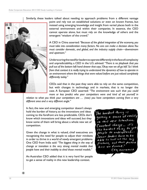Similarly, these leaders talked about needing to approach problems from a different vantage



point and rely not on established solutions or even on known frames, but instead using emerging knowledge and insight from varied places both in the external environment and within their companies. In essence, the CEO cannot operate alone, but must rely on the knowledge of others and the emergent "wisdom of the crowd."

A CEO in China asserted: *"Because of the global integration of the economy, you must take into consideration many factors. No one can make a decision alone. You must consider domestic, and global, and the industry supply chain—downstream and upstream."*

Underscoring the need for leaders to operate differently in the face of complexity and unpredictability, a CEO in the U.S. advised: *"There is no playbook that you pull out of the bottom left hand drawer that says, 'Okay now we all go left.' So I think from that context it is really trying to understand the dynamics of how to operate in an environment where the things that were valued before are just valued completely differently today."*

CEOs said that in the past they were able to rely on the same competition, but with changes in technology and in markets, that is no longer the case. A European CEO asserted: *"The environment was such that you could more or less predict who your competitors were and kind of set yourself in* 

*relation to what you think your competitors are … (now) you have competitors coming from a very different area and a very different angle."* 

In fact, the new and emerging competitor doesn't always hold the burden of history, so the innovations and ideas coming to the forefront are less predictable. CEOs don't know which innovations and ideas will succeed, but they know some of them will bring about a whole new set of competition.

Given the change in what is valued, chief executives are recognizing the need for people to adjust their mindsets in order to thrive in a world of newly emergent problems. One CEO from India said: *"The biggest thing in the way of change or transition is the very strong mental models that people have and their inability to shed those mental models."*

An Australian CEO added that it is very hard for people to get a sense of reality in this new leadership context.

The hardest thing is<br>getting a sense of reality In this new situation. Constant change ... it's the hardest thing, to get people to understand. Senior leaders have to be able to look at the big Picture, and that picture has no frame. CEO, AUSTRALIA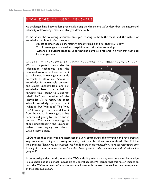### Knowledge is Less Reliable

As challenges have become less predictable along the dimensions we've described, the nature and reliability of knowledge have also changed dramatically.

In the study, the following principles emerged relating to both the value and the nature of knowledge and how it affects leaders:

- Access to knowledge is increasingly uncontrollable and its "shelf-life" is low
- Tacit knowledge is as valuable as explicit and critical to leadership
- Systemic knowledge leads to understanding complex problems in a way that technical knowledge cannot

Access to knowledge is uncontrollable and shelf-life is low

We are impacted every day by information technology and the increased awareness of how to use it to make new knowledge constantly accessible to all of us. Access to knowledge is increasingly universal and almost uncontrollable, and our knowledge bases are added to regularly thus leading to a shorter "shelf life" or duration of the knowledge. As a result, the most valuable knowledge perhaps is not "what is" but "why it is." This "why it is" knowledge is tacit and different from the explicit knowledge that has been valued greatly by leaders and in business. This tacit knowledge is about understanding the unfamiliar rather than trying to absorb what is known today.



CEOs noted that unless you are interested in a very broad range of information and have creative ways to access it, things are moving so quickly that it can be difficult to stay ahead. One CEO in India related: *"Even if you are a leader who has 25 years of experience, if you have not really spent time learning the use of social media and the implications of social media, how can you understand what is going on?"*

In an interdependent world, where the CEO is dealing with so many constituencies, knowledge is less stable and it is almost impossible to control access. We learned that this has an impact on both the CEO – in terms of how she communicates with the world as well as the consequences of that communication.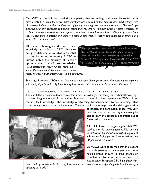One CEO in the U.S. described the complexity that technology and especially social media have created: *"I think there are more constituencies involved in the process, and maybe they were all involved before, but the ramifications of getting it wrong now are more severe. … You can't get sideways with any particular community group that you are not thinking about or being conscious of. … You can make a misstep and end up with an activist shareholder who has a different approach from you. You can make a misstep and there is a social media wildfire reaction. The things are magnified in a lot of different dimensions."*

Of course, technology and the pace of new knowledge also affects a CEO's ability to be up to date and know what is essential to consider in decision-making. A CEO in Europe noted the difficulty of keeping up with the pace of new knowledge: *"…understanding really what's going on… what affects our world. Since we know so much* 

*more, we get so much information*—*it is a challenge."*

Social media has gotten real hard... The difficulty is how do you manage social media in today's world? Anyone Can go on Facebook and say "I hate (this company)" CEO, TURKEY

Similarly, a European CEO stated: *"You make statements. You might very quickly not be in tune anymore with reality if you're not really broadly, very broadly interested in what happens around the world."* 

#### Tacit knowledge is now as valuable as explicit

The last shift is in the importance of a certain kind of knowledge. For many years technical knowledge has been king in a world of transactions. But now in a world of interdependence, CEOs told us that it is tacit knowledge—the knowledge of why things happen and how to do something—that is becoming more and more important. They worry in some ways that the rising generation



of leaders, and particularly those with very deep technical expertise, may not actually be able to learn the delicacies and intricacies of "how rather than what."

A U.S. CEO asserted regarding this shift: *"We used to say, 80 percent technical/20 percent social political. Complexity now is the fungibility of information. Eighty percent is social political and 20 percent is technical."*

Our CEOs were concerned that the leaders currently growing in their organizations may not be broad enough to drive change or complete a mission in the environment we face today. A European CEO highlighted this:

*"The challenge is to have people really broadly interested in and able to respond effectively to the changes affecting our world."*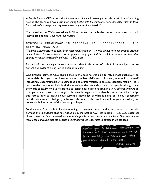A South African CEO noted the importance of tacit knowledge and the criticality of learning beyond the technical: *"We must bring young people into the corporate world and allow them to learn from their elders things that they were never taught at the university."*

The question the CEOs are asking is "How do we create leaders who can acquire that tacit knowledge and use it over and over again?"

Systemic knowledge is critical to understanding – and solving problems

*"Thinking systematically has never been more important than it is now. I cannot solve a marketing problem only in technical because business is not fractured or fragmented. Successful businesses are those that operate networks consistently and well."* -CEO, India

Because of these changes there is a natural shift in the value of technical knowledge to more systemic knowledge being key to decision-making.

One financial services CEO shared that in the past he was able to rely almost exclusively on the models his organization invested in over the last 10-15 years. However, he now finds himself increasingly uncomfortable with using that kind of information to drive his decision-making. He is not sure that the models include all the interdependencies and outside contingencies that go on in the world today. He told us he has had to learn to ask questions again in a very different way. As an example, he shared you can no longer solve a marketing problem with only your technical knowledge but instead have to include your systemic knowledge of what is going on in your geography and the dynamics of that geography with the rest of the world as well as your knowledge of consumer behavior and of the economy at large.

So the move from technical understanding to systemic understanding is another reason why perhaps the knowledge that has guided us in the past is now less reliable. A U.S. CEO asserted: *"I think there's an interconnectedness now of the problems and changes and the issues. You need to have more people involved with the decision making, leaves the leader less in control of the situation."* 

You've got to become sharpe catterns that  $C50, 1101A$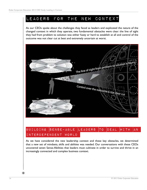### Leaders for the New Context

As our CEOs spoke about the challenges they faced as leaders and explicated the nature of the changed context in which they operate, two fundamental obstacles were clear: the line of sight they had from problem to solution was either fuzzy or hard to establish at all and control of the outcome was not clear cut at best and extremely uncertain at worst.



### BUILDING SENSE-ABLE LEADERS TO DEAL WITH AN Interdependent World

As we have considered the new leadership context and these key obstacles, we determined that a new set of mindsets, skills and abilities was needed. Our conversations with these CEOs uncovered seven Sense-Abilities that leaders must cultivate in order to survive and thrive in an increasingly connected and complex business context.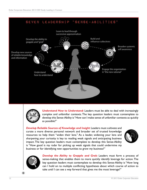



*Understand How to Understand:* Leaders must be able to deal with increasingly complex and unfamiliar contexts. The key question leaders must contemplate to develop this Sense-Ability is "How can I make sense of unfamiliar contexts as quickly as possible?"

*Develop Reliable Sources of Knowledge and Insight*: Leaders must cultivate and curate a more diverse personal network and broader set of trusted knowledge resources to help them "widen their lens." As a leader, widening your lens and sharpening your curiosity is key to reading weak signals and anticipating business impact. The key question leaders must contemplate to develop this Sense-Ability is "How good is my radar for picking up weak signals that could undermine my business or for identifying new opportunities to grow my business?"





**Develop the Ability to Grapple and Grok:** Leaders must form a process of sense-making that enables them to more quickly identify leverage for action. The key question leaders must contemplate to develop this Sense-Ability is "How long can I hold on to multiple conflicting hypotheses about which course of action to take until I can see a way forward that gives me the most leverage?"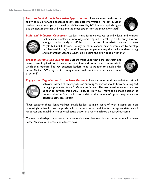*Learn to Lead through Successive Approximation:* Leaders must cultivate the ability to make forward progress absent complete information. The key question leaders must contemplate to develop this Sense-Ability is "How can I quickly figure out the next move that will leave me the most options for the move after that?"



*Build and Influence Collectives:* Leaders must form collectives of individuals and entities that can see problems in new ways and respond to challenges differently. It is not enough to understand yourself; the road to success is littered with leaders that were "right" but not followed. The key question leaders must contemplate to develop this Sense-Ability is, "How do I engage people in a way that builds understanding and movement? Essentially, how do I inspire and bring people with me?"

*Broaden Systemic Self-Awareness:* Leaders must understand the upstream and downstream implications of their actions and interactions in the ecosystem within which they operate. The key question leaders need to ponder to develop this Sense-Ability is "What systemic consequences could result from a particular course of action?"



*Engage the Organization in the New Rational:* Leaders must work to redefine rational



behavior; instead of *avoiding risk and following the rules*, it should become *seeing and seizing opportunities that will advance the business*. The key question leaders need to ponder to develop this Sense-Ability is "How do I move the default position of the organization from avoidance of risk to the pursuit of opportunity when the context seems less certain?"

Taken together, these Sense-Abilities enable leaders to make sense of what is going on in an increasingly unfamiliar and unpredictable business context and invoke the appropriate set of resources and capabilities to take collective action in order to achieve a desired outcome.

The new leadership context—our interdependent world—needs leaders who can employ these Sense-Abilities for success and effectiveness.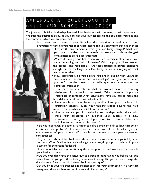# APPENDIX A: Questions to Build our Sense-Abilities

The journey to building leadership Sense-Abilities begins not with answers, but with questions. We offer the questions below as you consider your own leadership, the challenges you face and the context in which you are immersed.

- Has there been a time in your life when the conditions around you changed dramatically? How did you respond? What lessons can you draw from that experience?
	- How has the environment in which you lead today changed? What have you done to understand the genesis and evolution of those changes? What patterns do you see emerging?
	- Where do you go for help when you are uncertain about what you are experiencing and what it means? Who helps you "look around the corner" and read signals? Are these trusted resources expansive enough for the challenges you face today or are you relying on what feels comfortable?
	- How comfortable do you believe you are in dealing with unfamiliar environments, situations and relationships? Can you move when you don't have the answer to unfamiliar questions or must you have complete information?
	- How much do you rely on what has worked before in resolving challenges in unfamiliar contexts? What remains important regardless of context? What adjustments have you had to make and how did you decide on those adjustments?
	- How much do you factor optionality into your decisions in unfamiliar contexts? Does your thinking extend beyond the next move to the possibilities that follow that move?
	- How active are you in developing relationships with others who share your objectives or influence your success in a new environment? Have you developed ways to overcome differences and influence outcomes in this context?
- Have you ever taken an action as a leader to solve a problem only to have that action create another problem? How conscious are you now of the broader systemic consequences of your actions? What tools do you use to anticipate unintended consequences?
- Do you currently seek feedback from those that are involved in or impacted by your decisions? When faced with a new challenge or context, do you proactively put in place a system for generating feedback?
- How comfortable are you questioning the assumption set and rule-base that bounds your business context?
- Have you ever challenged the status-quo to pursue an opportunity you believe will add value? How did you get others to buy in to your thinking? Did your actions change the thinking going forward or did it revert back to status quo?
- Can you bring your experiences and insights back into your organization in a way that energizes others to think and act in new and different ways?

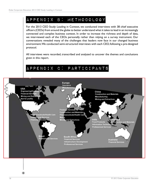## APPENDIX B: Methodology

For the 2013 CEO Study: Leading in Context, we conducted interviews with 38 chief executive officers (CEOs) from around the globe to better understand what it takes to lead in an increasingly connected and complex business context. In order to increase the richness and depth of data, we interviewed each of the CEOs personally rather than relying on a survey instrument. Our conversations revealed many of the challenges that leaders now face in our changed business environment. We conducted semi-structured interviews with each CEO, following a pre-designed protocol.

All interviews were recorded, transcribed and analyzed to uncover the themes and conclusions given in this report.

# APPENDIX C: Participants